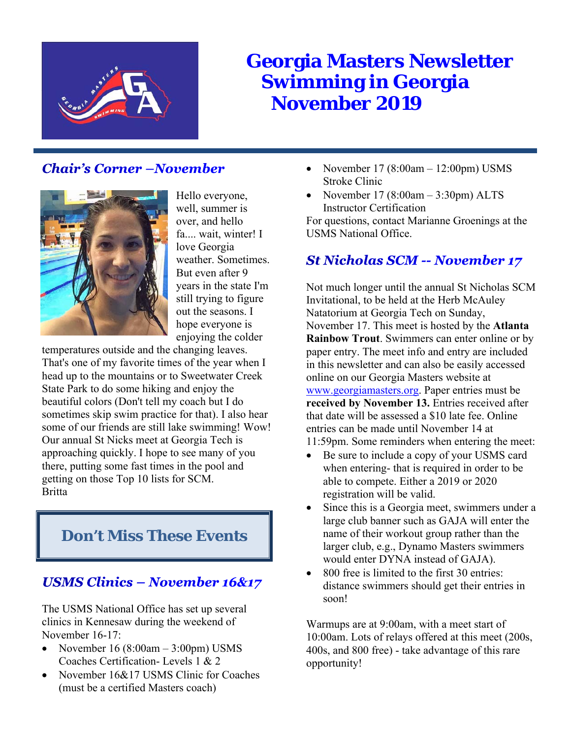

# **Georgia Masters Newsletter Swimming in Georgia November 2019**

# **Chair's Corner -November**



Hello everyone, well, summer is over, and hello fa.... wait, winter! I love Georgia weather. Sometimes. But even after 9 years in the state I'm still trying to figure out the seasons. I hope everyone is enjoying the colder

temperatures outside and the changing leaves. That's one of my favorite times of the year when I head up to the mountains or to Sweetwater Creek State Park to do some hiking and enjoy the beautiful colors (Don't tell my coach but I do sometimes skip swim practice for that). I also hear some of our friends are still lake swimming! Wow! Our annual St Nicks meet at Georgia Tech is approaching quickly. I hope to see many of you there, putting some fast times in the pool and getting on those Top 10 lists for SCM. Britta

# **Don't Miss These Events**

## **USMS Clinics - November 16&17**

The USMS National Office has set up several clinics in Kennesaw during the weekend of November 16-17:

- November  $16 (8:00am 3:00pm)$  USMS Coaches Certification- Levels 1 & 2
- November 16&17 USMS Clinic for Coaches (must be a certified Masters coach)
- November  $17 (8:00am 12:00pm)$  USMS Stroke Clinic
- November  $17 (8:00am 3:30pm)$  ALTS Instructor Certification

For questions, contact Marianne Groenings at the USMS National Office.

#### St Nicholas SCM -- November 17

Not much longer until the annual St Nicholas SCM Invitational, to be held at the Herb McAuley Natatorium at Georgia Tech on Sunday, November 17. This meet is hosted by the **Atlanta Rainbow Trout**. Swimmers can enter online or by paper entry. The meet info and entry are included in this newsletter and can also be easily accessed online on our Georgia Masters website at www.georgiamasters.org. Paper entries must be **received by November 13.** Entries received after that date will be assessed a \$10 late fee. Online entries can be made until November 14 at 11:59pm. Some reminders when entering the meet:

- Be sure to include a copy of your USMS card when entering- that is required in order to be able to compete. Either a 2019 or 2020 registration will be valid.
- Since this is a Georgia meet, swimmers under a large club banner such as GAJA will enter the name of their workout group rather than the larger club, e.g., Dynamo Masters swimmers would enter DYNA instead of GAJA).
- 800 free is limited to the first 30 entries: distance swimmers should get their entries in soon!

Warmups are at 9:00am, with a meet start of 10:00am. Lots of relays offered at this meet (200s, 400s, and 800 free) - take advantage of this rare opportunity!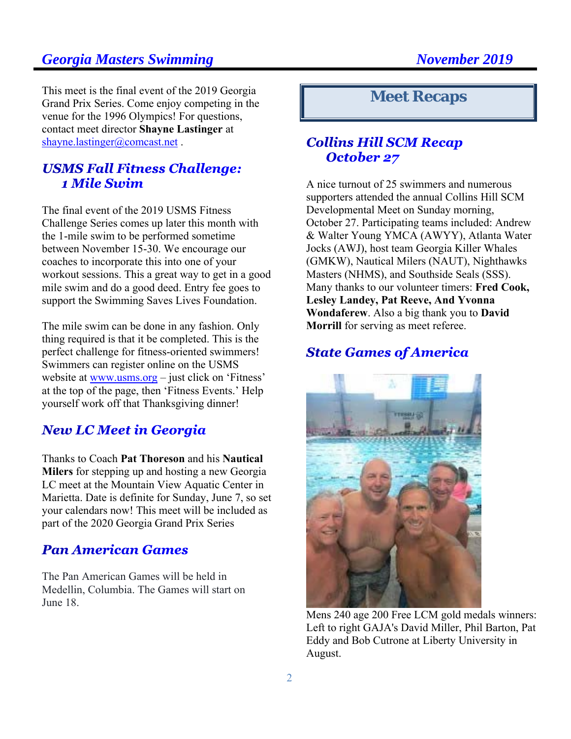This meet is the final event of the 2019 Georgia Grand Prix Series. Come enjoy competing in the venue for the 1996 Olympics! For questions, contact meet director **Shayne Lastinger** at shayne.lastinger@comcast.net.

#### **USMS Fall Fitness Challenge:** 1 Mile Swim

The final event of the 2019 USMS Fitness Challenge Series comes up later this month with the 1-mile swim to be performed sometime between November 15-30. We encourage our coaches to incorporate this into one of your workout sessions. This a great way to get in a good mile swim and do a good deed. Entry fee goes to support the Swimming Saves Lives Foundation.

The mile swim can be done in any fashion. Only thing required is that it be completed. This is the perfect challenge for fitness-oriented swimmers! Swimmers can register online on the USMS website at www.usms.org – just click on 'Fitness' at the top of the page, then 'Fitness Events.' Help yourself work off that Thanksgiving dinner!

#### **New LC Meet in Georgia**

Thanks to Coach **Pat Thoreson** and his **Nautical Milers** for stepping up and hosting a new Georgia LC meet at the Mountain View Aquatic Center in Marietta. Date is definite for Sunday, June 7, so set your calendars now! This meet will be included as part of the 2020 Georgia Grand Prix Series

#### **Pan American Games**

The Pan American Games will be held in Medellin, Columbia. The Games will start on June 18.

#### **Meet Recaps**

#### **Collins Hill SCM Recap** October 27

A nice turnout of 25 swimmers and numerous supporters attended the annual Collins Hill SCM Developmental Meet on Sunday morning, October 27. Participating teams included: Andrew & Walter Young YMCA (AWYY), Atlanta Water Jocks (AWJ), host team Georgia Killer Whales (GMKW), Nautical Milers (NAUT), Nighthawks Masters (NHMS), and Southside Seals (SSS). Many thanks to our volunteer timers: **Fred Cook, Lesley Landey, Pat Reeve, And Yvonna Wondaferew**. Also a big thank you to **David Morrill** for serving as meet referee.

#### **State Games of America**



Mens 240 age 200 Free LCM gold medals winners: Left to right GAJA's David Miller, Phil Barton, Pat Eddy and Bob Cutrone at Liberty University in August.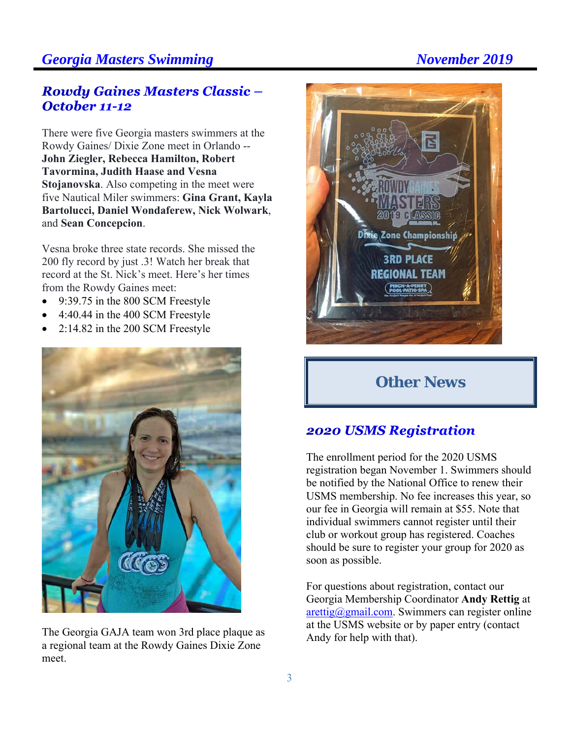#### **Rowdy Gaines Masters Classic -**October 11-12

There were five Georgia masters swimmers at the Rowdy Gaines/ Dixie Zone meet in Orlando -- **John Ziegler, Rebecca Hamilton, Robert Tavormina, Judith Haase and Vesna Stojanovska**. Also competing in the meet were five Nautical Miler swimmers: **Gina Grant, Kayla Bartolucci, Daniel Wondaferew, Nick Wolwark**, and **Sean Concepcion**.

Vesna broke three state records. She missed the 200 fly record by just .3! Watch her break that record at the St. Nick's meet. Here's her times from the Rowdy Gaines meet:

- 9:39.75 in the 800 SCM Freestyle
- 4:40.44 in the 400 SCM Freestyle
- 2:14.82 in the 200 SCM Freestyle



The Georgia GAJA team won 3rd place plaque as a regional team at the Rowdy Gaines Dixie Zone meet.



## **Other News**

#### **2020 USMS Registration**

The enrollment period for the 2020 USMS registration began November 1. Swimmers should be notified by the National Office to renew their USMS membership. No fee increases this year, so our fee in Georgia will remain at \$55. Note that individual swimmers cannot register until their club or workout group has registered. Coaches should be sure to register your group for 2020 as soon as possible.

For questions about registration, contact our Georgia Membership Coordinator **Andy Rettig** at  $\arcti g(\partial g)$  mail.com. Swimmers can register online at the USMS website or by paper entry (contact Andy for help with that).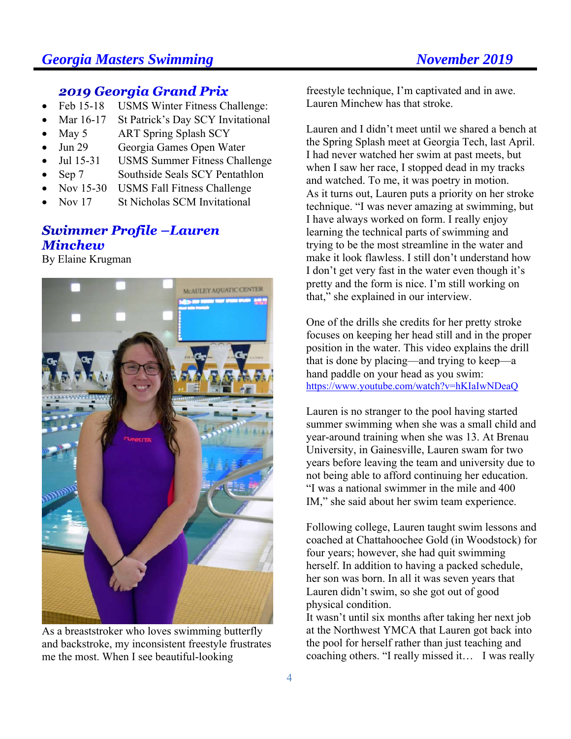#### 2019 Georgia Grand Prix

- Feb 15-18 USMS Winter Fitness Challenge:
- Mar 16-17 St Patrick's Day SCY Invitational
- May 5 ART Spring Splash SCY
- Jun 29 Georgia Games Open Water
- Jul 15-31 USMS Summer Fitness Challenge
- Sep 7 Southside Seals SCY Pentathlon
- Nov 15-30 USMS Fall Fitness Challenge
- Nov 17 St Nicholas SCM Invitational

#### **Swimmer Profile -Lauren** Minchew

By Elaine Krugman



As a breaststroker who loves swimming butterfly and backstroke, my inconsistent freestyle frustrates me the most. When I see beautiful-looking

freestyle technique, I'm captivated and in awe. Lauren Minchew has that stroke.

Lauren and I didn't meet until we shared a bench at the Spring Splash meet at Georgia Tech, last April. I had never watched her swim at past meets, but when I saw her race, I stopped dead in my tracks and watched. To me, it was poetry in motion. As it turns out, Lauren puts a priority on her stroke technique. "I was never amazing at swimming, but I have always worked on form. I really enjoy learning the technical parts of swimming and trying to be the most streamline in the water and make it look flawless. I still don't understand how I don't get very fast in the water even though it's pretty and the form is nice. I'm still working on that," she explained in our interview.

One of the drills she credits for her pretty stroke focuses on keeping her head still and in the proper position in the water. This video explains the drill that is done by placing—and trying to keep—a hand paddle on your head as you swim: https://www.youtube.com/watch?v=hKIaIwNDeaQ

Lauren is no stranger to the pool having started summer swimming when she was a small child and year-around training when she was 13. At Brenau University, in Gainesville, Lauren swam for two years before leaving the team and university due to not being able to afford continuing her education. "I was a national swimmer in the mile and 400 IM," she said about her swim team experience.

Following college, Lauren taught swim lessons and coached at Chattahoochee Gold (in Woodstock) for four years; however, she had quit swimming herself. In addition to having a packed schedule, her son was born. In all it was seven years that Lauren didn't swim, so she got out of good physical condition.

It wasn't until six months after taking her next job at the Northwest YMCA that Lauren got back into the pool for herself rather than just teaching and coaching others. "I really missed it… I was really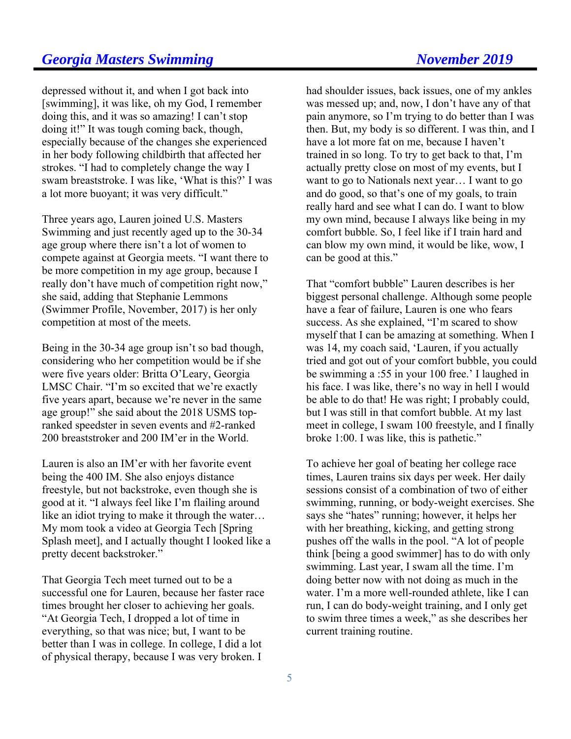depressed without it, and when I got back into [swimming], it was like, oh my God, I remember doing this, and it was so amazing! I can't stop doing it!" It was tough coming back, though, especially because of the changes she experienced in her body following childbirth that affected her strokes. "I had to completely change the way I swam breaststroke. I was like, 'What is this?' I was a lot more buoyant; it was very difficult."

Three years ago, Lauren joined U.S. Masters Swimming and just recently aged up to the 30-34 age group where there isn't a lot of women to compete against at Georgia meets. "I want there to be more competition in my age group, because I really don't have much of competition right now," she said, adding that Stephanie Lemmons (Swimmer Profile, November, 2017) is her only competition at most of the meets.

Being in the 30-34 age group isn't so bad though, considering who her competition would be if she were five years older: Britta O'Leary, Georgia LMSC Chair. "I'm so excited that we're exactly five years apart, because we're never in the same age group!" she said about the 2018 USMS topranked speedster in seven events and #2-ranked 200 breaststroker and 200 IM'er in the World.

Lauren is also an IM'er with her favorite event being the 400 IM. She also enjoys distance freestyle, but not backstroke, even though she is good at it. "I always feel like I'm flailing around like an idiot trying to make it through the water… My mom took a video at Georgia Tech [Spring Splash meet], and I actually thought I looked like a pretty decent backstroker."

That Georgia Tech meet turned out to be a successful one for Lauren, because her faster race times brought her closer to achieving her goals. "At Georgia Tech, I dropped a lot of time in everything, so that was nice; but, I want to be better than I was in college. In college, I did a lot of physical therapy, because I was very broken. I

had shoulder issues, back issues, one of my ankles was messed up; and, now, I don't have any of that pain anymore, so I'm trying to do better than I was then. But, my body is so different. I was thin, and I have a lot more fat on me, because I haven't trained in so long. To try to get back to that, I'm actually pretty close on most of my events, but I want to go to Nationals next year… I want to go and do good, so that's one of my goals, to train really hard and see what I can do. I want to blow my own mind, because I always like being in my comfort bubble. So, I feel like if I train hard and can blow my own mind, it would be like, wow, I can be good at this."

That "comfort bubble" Lauren describes is her biggest personal challenge. Although some people have a fear of failure, Lauren is one who fears success. As she explained, "I'm scared to show myself that I can be amazing at something. When I was 14, my coach said, 'Lauren, if you actually tried and got out of your comfort bubble, you could be swimming a :55 in your 100 free.' I laughed in his face. I was like, there's no way in hell I would be able to do that! He was right; I probably could, but I was still in that comfort bubble. At my last meet in college, I swam 100 freestyle, and I finally broke 1:00. I was like, this is pathetic."

To achieve her goal of beating her college race times, Lauren trains six days per week. Her daily sessions consist of a combination of two of either swimming, running, or body-weight exercises. She says she "hates" running; however, it helps her with her breathing, kicking, and getting strong pushes off the walls in the pool. "A lot of people think [being a good swimmer] has to do with only swimming. Last year, I swam all the time. I'm doing better now with not doing as much in the water. I'm a more well-rounded athlete, like I can run, I can do body-weight training, and I only get to swim three times a week," as she describes her current training routine.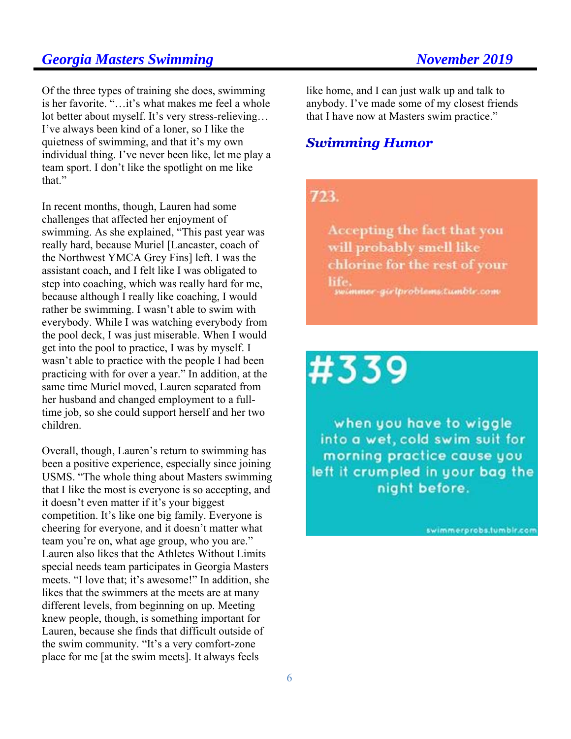Of the three types of training she does, swimming is her favorite. "…it's what makes me feel a whole lot better about myself. It's very stress-relieving… I've always been kind of a loner, so I like the quietness of swimming, and that it's my own individual thing. I've never been like, let me play a team sport. I don't like the spotlight on me like that."

In recent months, though, Lauren had some challenges that affected her enjoyment of swimming. As she explained, "This past year was really hard, because Muriel [Lancaster, coach of the Northwest YMCA Grey Fins] left. I was the assistant coach, and I felt like I was obligated to step into coaching, which was really hard for me, because although I really like coaching, I would rather be swimming. I wasn't able to swim with everybody. While I was watching everybody from the pool deck, I was just miserable. When I would get into the pool to practice, I was by myself. I wasn't able to practice with the people I had been practicing with for over a year." In addition, at the same time Muriel moved, Lauren separated from her husband and changed employment to a fulltime job, so she could support herself and her two children.

Overall, though, Lauren's return to swimming has been a positive experience, especially since joining USMS. "The whole thing about Masters swimming that I like the most is everyone is so accepting, and it doesn't even matter if it's your biggest competition. It's like one big family. Everyone is cheering for everyone, and it doesn't matter what team you're on, what age group, who you are." Lauren also likes that the Athletes Without Limits special needs team participates in Georgia Masters meets. "I love that; it's awesome!" In addition, she likes that the swimmers at the meets are at many different levels, from beginning on up. Meeting knew people, though, is something important for Lauren, because she finds that difficult outside of the swim community. "It's a very comfort-zone place for me [at the swim meets]. It always feels

like home, and I can just walk up and talk to anybody. I've made some of my closest friends that I have now at Masters swim practice."

#### **Swimming Humor**

## 723.

Accepting the fact that you will probably smell like chlorine for the rest of your life. swimmer-girlproblems:tumblr.com-

# #339

when you have to wiggle into a wet, cold swim suit for morning practice cause you left it crumpled in your bag the night before.

swimmerprobs.tumblr.com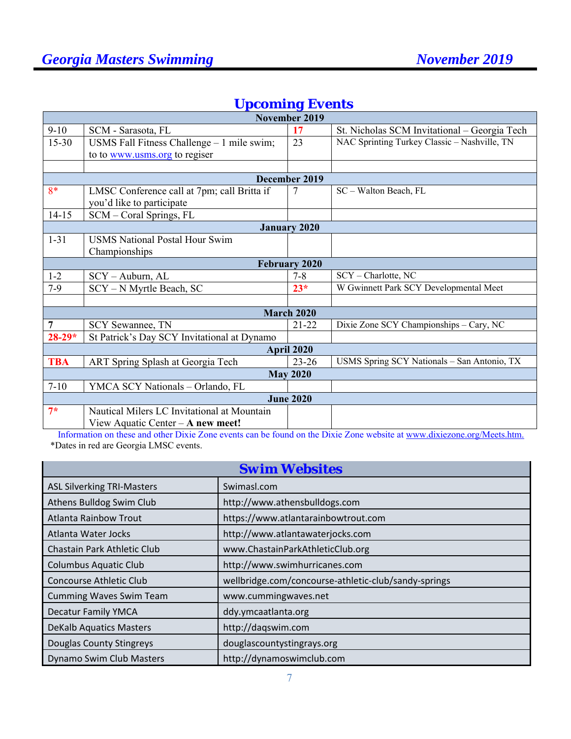| November 2019       |                                             |                   |                                              |  |  |  |
|---------------------|---------------------------------------------|-------------------|----------------------------------------------|--|--|--|
| $9 - 10$            | SCM - Sarasota, FL                          | 17                | St. Nicholas SCM Invitational – Georgia Tech |  |  |  |
| $15 - 30$           | USMS Fall Fitness Challenge - 1 mile swim;  | 23                | NAC Sprinting Turkey Classic - Nashville, TN |  |  |  |
|                     | to to www.usms.org to regiser               |                   |                                              |  |  |  |
|                     |                                             |                   |                                              |  |  |  |
|                     |                                             | December 2019     |                                              |  |  |  |
| $8*$                | LMSC Conference call at 7pm; call Britta if | 7                 | SC - Walton Beach, FL                        |  |  |  |
|                     | you'd like to participate                   |                   |                                              |  |  |  |
| $14 - 15$           | SCM - Coral Springs, FL                     |                   |                                              |  |  |  |
| <b>January 2020</b> |                                             |                   |                                              |  |  |  |
| $1 - 31$            | <b>USMS National Postal Hour Swim</b>       |                   |                                              |  |  |  |
|                     | Championships                               |                   |                                              |  |  |  |
| February 2020       |                                             |                   |                                              |  |  |  |
| $1 - 2$             | $SCY - Auburn, AL$                          | $7 - 8$           | SCY - Charlotte, NC                          |  |  |  |
| $7-9$               | SCY - N Myrtle Beach, SC                    | $23*$             | W Gwinnett Park SCY Developmental Meet       |  |  |  |
|                     |                                             |                   |                                              |  |  |  |
|                     |                                             | <b>March 2020</b> |                                              |  |  |  |
| $\overline{7}$      | SCY Sewannee, TN                            | $21 - 22$         | Dixie Zone SCY Championships - Cary, NC      |  |  |  |
| $28 - 29*$          | St Patrick's Day SCY Invitational at Dynamo |                   |                                              |  |  |  |
|                     |                                             | <b>April 2020</b> |                                              |  |  |  |
| <b>TBA</b>          | ART Spring Splash at Georgia Tech           | $23 - 26$         | USMS Spring SCY Nationals - San Antonio, TX  |  |  |  |
| <b>May 2020</b>     |                                             |                   |                                              |  |  |  |
| $7 - 10$            | YMCA SCY Nationals - Orlando, FL            |                   |                                              |  |  |  |
|                     |                                             | <b>June 2020</b>  |                                              |  |  |  |
| $7*$                | Nautical Milers LC Invitational at Mountain |                   |                                              |  |  |  |
|                     | View Aquatic Center $-A$ new meet!          |                   |                                              |  |  |  |

## *Upcoming Events*

 Information on these and other Dixie Zone events can be found on the Dixie Zone website at www.dixiezone.org/Meets.htm. \*Dates in red are Georgia LMSC events.

| <b>Swim Websites</b>                                         |                                                      |  |  |  |  |
|--------------------------------------------------------------|------------------------------------------------------|--|--|--|--|
| <b>ASL Silverking TRI-Masters</b>                            | Swimasl.com                                          |  |  |  |  |
| Athens Bulldog Swim Club                                     | http://www.athensbulldogs.com                        |  |  |  |  |
| <b>Atlanta Rainbow Trout</b>                                 | https://www.atlantarainbowtrout.com                  |  |  |  |  |
| Atlanta Water Jocks                                          | http://www.atlantawaterjocks.com                     |  |  |  |  |
| Chastain Park Athletic Club                                  | www.ChastainParkAthleticClub.org                     |  |  |  |  |
| <b>Columbus Aquatic Club</b>                                 | http://www.swimhurricanes.com                        |  |  |  |  |
| Concourse Athletic Club                                      | wellbridge.com/concourse-athletic-club/sandy-springs |  |  |  |  |
| <b>Cumming Waves Swim Team</b>                               | www.cummingwaves.net                                 |  |  |  |  |
| <b>Decatur Family YMCA</b>                                   | ddy.ymcaatlanta.org                                  |  |  |  |  |
| <b>DeKalb Aquatics Masters</b>                               | http://daqswim.com                                   |  |  |  |  |
| <b>Douglas County Stingreys</b>                              | douglascountystingrays.org                           |  |  |  |  |
| http://dynamoswimclub.com<br><b>Dynamo Swim Club Masters</b> |                                                      |  |  |  |  |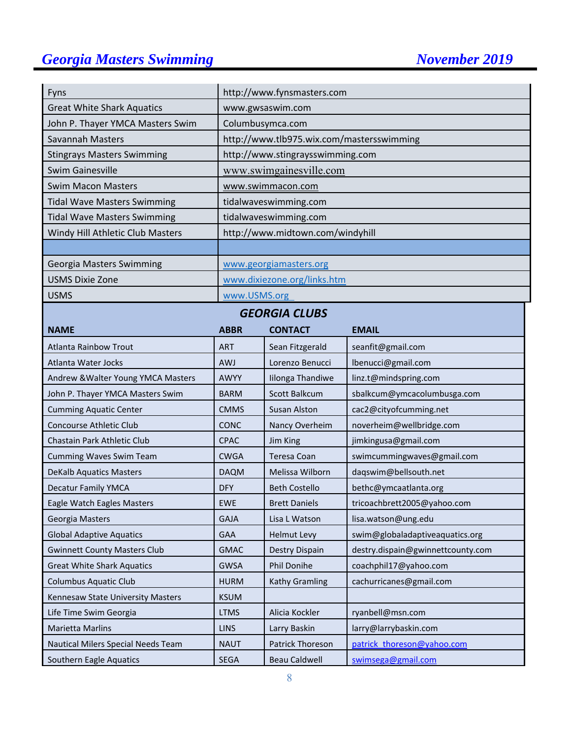# **Georgia Masters Swimming November 2019**

| Fyns                                | http://www.fynsmasters.com           |                                           |                                   |  |  |  |
|-------------------------------------|--------------------------------------|-------------------------------------------|-----------------------------------|--|--|--|
| <b>Great White Shark Aquatics</b>   | www.gwsaswim.com                     |                                           |                                   |  |  |  |
| John P. Thayer YMCA Masters Swim    | Columbusymca.com                     |                                           |                                   |  |  |  |
| <b>Savannah Masters</b>             |                                      | http://www.tlb975.wix.com/mastersswimming |                                   |  |  |  |
| <b>Stingrays Masters Swimming</b>   |                                      | http://www.stingraysswimming.com          |                                   |  |  |  |
| <b>Swim Gainesville</b>             |                                      | www.swimgainesville.com                   |                                   |  |  |  |
| <b>Swim Macon Masters</b>           |                                      | www.swimmacon.com                         |                                   |  |  |  |
| <b>Tidal Wave Masters Swimming</b>  |                                      | tidalwaveswimming.com                     |                                   |  |  |  |
| <b>Tidal Wave Masters Swimming</b>  |                                      | tidalwaveswimming.com                     |                                   |  |  |  |
| Windy Hill Athletic Club Masters    |                                      | http://www.midtown.com/windyhill          |                                   |  |  |  |
|                                     |                                      |                                           |                                   |  |  |  |
| Georgia Masters Swimming            |                                      | www.georgiamasters.org                    |                                   |  |  |  |
| <b>USMS Dixie Zone</b>              |                                      | www.dixiezone.org/links.htm               |                                   |  |  |  |
| <b>USMS</b>                         | www.USMS.org                         |                                           |                                   |  |  |  |
|                                     |                                      | <b>GEORGIA CLUBS</b>                      |                                   |  |  |  |
| <b>NAME</b>                         | <b>ABBR</b>                          | <b>CONTACT</b>                            | <b>EMAIL</b>                      |  |  |  |
| <b>Atlanta Rainbow Trout</b>        | <b>ART</b>                           | Sean Fitzgerald                           | seanfit@gmail.com                 |  |  |  |
| <b>Atlanta Water Jocks</b>          | <b>AWJ</b>                           | Lorenzo Benucci                           | lbenucci@gmail.com                |  |  |  |
| Andrew & Walter Young YMCA Masters  | <b>AWYY</b>                          | Iilonga Thandiwe                          | linz.t@mindspring.com             |  |  |  |
| John P. Thayer YMCA Masters Swim    | <b>BARM</b>                          | <b>Scott Balkcum</b>                      | sbalkcum@ymcacolumbusga.com       |  |  |  |
| <b>Cumming Aquatic Center</b>       | <b>CMMS</b>                          | Susan Alston                              | cac2@cityofcumming.net            |  |  |  |
| <b>Concourse Athletic Club</b>      | <b>CONC</b>                          | Nancy Overheim                            | noverheim@wellbridge.com          |  |  |  |
| Chastain Park Athletic Club         | <b>CPAC</b>                          | Jim King                                  | jimkingusa@gmail.com              |  |  |  |
| <b>Cumming Waves Swim Team</b>      | <b>CWGA</b>                          | Teresa Coan                               | swimcummingwaves@gmail.com        |  |  |  |
| <b>DeKalb Aquatics Masters</b>      | <b>DAQM</b>                          | Melissa Wilborn                           | daqswim@bellsouth.net             |  |  |  |
| <b>Decatur Family YMCA</b>          | <b>DFY</b>                           | <b>Beth Costello</b>                      | bethc@ymcaatlanta.org             |  |  |  |
| Eagle Watch Eagles Masters          | <b>EWE</b>                           | <b>Brett Daniels</b>                      | tricoachbrett2005@yahoo.com       |  |  |  |
| Georgia Masters                     | <b>GAJA</b>                          | Lisa L Watson                             | lisa.watson@ung.edu               |  |  |  |
| <b>Global Adaptive Aquatics</b>     | <b>GAA</b>                           | <b>Helmut Levy</b>                        | swim@globaladaptiveaquatics.org   |  |  |  |
| <b>Gwinnett County Masters Club</b> | <b>GMAC</b>                          | Destry Dispain                            | destry.dispain@gwinnettcounty.com |  |  |  |
| <b>Great White Shark Aquatics</b>   | <b>GWSA</b>                          | Phil Donihe                               | coachphil17@yahoo.com             |  |  |  |
| <b>Columbus Aquatic Club</b>        | <b>HURM</b><br><b>Kathy Gramling</b> |                                           | cachurricanes@gmail.com           |  |  |  |
| Kennesaw State University Masters   | <b>KSUM</b>                          |                                           |                                   |  |  |  |
| Life Time Swim Georgia              | <b>LTMS</b>                          | Alicia Kockler                            | ryanbell@msn.com                  |  |  |  |
| <b>Marietta Marlins</b>             | <b>LINS</b>                          | Larry Baskin                              | larry@larrybaskin.com             |  |  |  |
| Nautical Milers Special Needs Team  | <b>NAUT</b>                          | Patrick Thoreson                          | patrick thoreson@yahoo.com        |  |  |  |
| Southern Eagle Aquatics             | SEGA                                 | <b>Beau Caldwell</b>                      | swimsega@gmail.com                |  |  |  |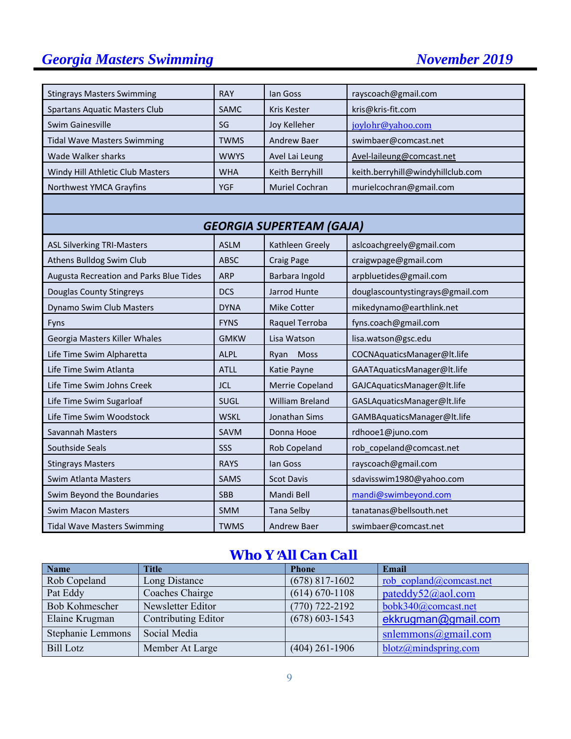# **Georgia Masters Swimming November 2019**

| <b>Stingrays Masters Swimming</b>       | <b>RAY</b>  | lan Goss                        | rayscoach@gmail.com               |
|-----------------------------------------|-------------|---------------------------------|-----------------------------------|
| <b>Spartans Aquatic Masters Club</b>    | <b>SAMC</b> | Kris Kester                     | kris@kris-fit.com                 |
| Swim Gainesville                        | SG          | Joy Kelleher                    | joylohr@yahoo.com                 |
| <b>Tidal Wave Masters Swimming</b>      | <b>TWMS</b> | Andrew Baer                     | swimbaer@comcast.net              |
| Wade Walker sharks                      | <b>WWYS</b> | Avel Lai Leung                  | Avel-laileung@comcast.net         |
| Windy Hill Athletic Club Masters        | <b>WHA</b>  | Keith Berryhill                 | keith.berryhill@windyhillclub.com |
| Northwest YMCA Grayfins                 | <b>YGF</b>  | <b>Muriel Cochran</b>           | murielcochran@gmail.com           |
|                                         |             |                                 |                                   |
|                                         |             | <b>GEORGIA SUPERTEAM (GAJA)</b> |                                   |
| <b>ASL Silverking TRI-Masters</b>       | <b>ASLM</b> | Kathleen Greely                 | aslcoachgreely@gmail.com          |
| Athens Bulldog Swim Club                | <b>ABSC</b> | Craig Page                      | craigwpage@gmail.com              |
| Augusta Recreation and Parks Blue Tides | <b>ARP</b>  | Barbara Ingold                  | arpbluetides@gmail.com            |
| Douglas County Stingreys                | <b>DCS</b>  | Jarrod Hunte                    | douglascountystingrays@gmail.com  |
| Dynamo Swim Club Masters                | <b>DYNA</b> | <b>Mike Cotter</b>              | mikedynamo@earthlink.net          |
| Fyns                                    | <b>FYNS</b> | Raquel Terroba                  | fyns.coach@gmail.com              |
| Georgia Masters Killer Whales           | <b>GMKW</b> | Lisa Watson                     | lisa.watson@gsc.edu               |
| Life Time Swim Alpharetta               | <b>ALPL</b> | Ryan Moss                       | COCNAquaticsManager@lt.life       |
| Life Time Swim Atlanta                  | <b>ATLL</b> | Katie Payne                     | GAATAquaticsManager@lt.life       |
| Life Time Swim Johns Creek              | <b>JCL</b>  | Merrie Copeland                 | GAJCAquaticsManager@lt.life       |
| Life Time Swim Sugarloaf                | SUGL        | <b>William Breland</b>          | GASLAquaticsManager@lt.life       |
| Life Time Swim Woodstock                | <b>WSKL</b> | Jonathan Sims                   | GAMBAquaticsManager@lt.life       |
| Savannah Masters                        | SAVM        | Donna Hooe                      | rdhooe1@juno.com                  |
| Southside Seals                         | SSS         | <b>Rob Copeland</b>             | rob_copeland@comcast.net          |
| <b>Stingrays Masters</b>                | <b>RAYS</b> | lan Goss                        | rayscoach@gmail.com               |
| Swim Atlanta Masters                    | <b>SAMS</b> | <b>Scot Davis</b>               | sdavisswim1980@yahoo.com          |
| Swim Beyond the Boundaries              | <b>SBB</b>  | Mandi Bell                      | mandi@swimbeyond.com              |
| <b>Swim Macon Masters</b>               | <b>SMM</b>  | Tana Selby                      | tanatanas@bellsouth.net           |
| <b>Tidal Wave Masters Swimming</b>      | <b>TWMS</b> | <b>Andrew Baer</b>              | swimbaer@comcast.net              |

#### *Who Y*=*All Can Call*

| <b>Name</b>              | <b>Title</b>               | <b>Phone</b>       | <b>Email</b>            |
|--------------------------|----------------------------|--------------------|-------------------------|
| Rob Copeland             | Long Distance              | $(678)$ 817-1602   | rob copland@comcast.net |
| Pat Eddy                 | Coaches Chairge            | $(614) 670 - 1108$ | pateddy52@aol.com       |
| Bob Kohmescher           | Newsletter Editor          | $(770)$ 722-2192   | bobk340@comcast.net     |
| Elaine Krugman           | <b>Contributing Editor</b> | $(678)$ 603-1543   | ekkrugman@gmail.com     |
| <b>Stephanie Lemmons</b> | Social Media               |                    | snlemmons@gmail.com     |
| <b>Bill Lotz</b>         | Member At Large            | $(404)$ 261-1906   | blotz@mindspring.com    |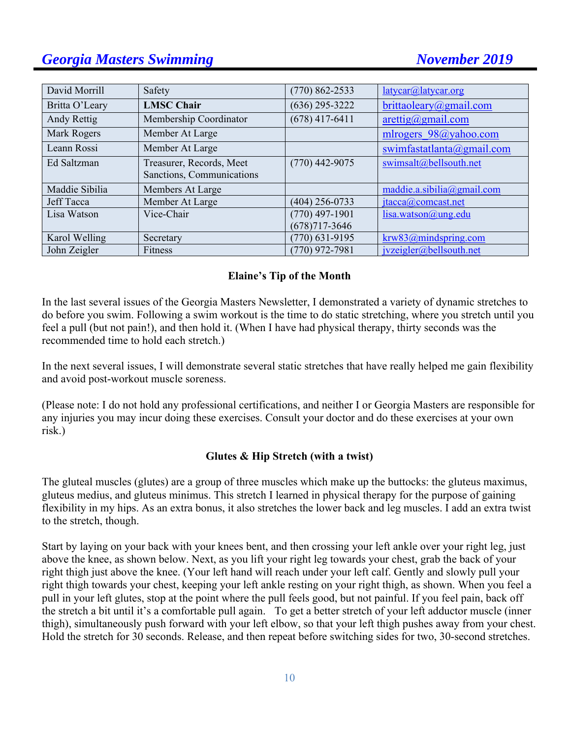| David Morrill  | Safety                    | $(770)$ 862-2533  | latycar@latycar.org                |
|----------------|---------------------------|-------------------|------------------------------------|
| Britta O'Leary | <b>LMSC Chair</b>         | $(636)$ 295-3222  | brittaoleary@gmail.com             |
| Andy Rettig    | Membership Coordinator    | $(678)$ 417-6411  | $\arcti\frac{g}{\omega}$ gmail.com |
| Mark Rogers    | Member At Large           |                   | mlrogers 98@yahoo.com              |
| Leann Rossi    | Member At Large           |                   | swimfastatlanta@gmail.com          |
| Ed Saltzman    | Treasurer, Records, Meet  | $(770)$ 442-9075  | swimsalt@bellsouth.net             |
|                | Sanctions, Communications |                   |                                    |
| Maddie Sibilia | Members At Large          |                   | maddie.a.sibilia@gmail.com         |
| Jeff Tacca     | Member At Large           | $(404)$ 256-0733  | jtacca@comcast.net                 |
| Lisa Watson    | Vice-Chair                | $(770)$ 497-1901  | lisa.watson@ung.edu                |
|                |                           | $(678)717 - 3646$ |                                    |
| Karol Welling  | Secretary                 | $(770)$ 631-9195  | krw83@mindspring.com               |
| John Zeigler   | Fitness                   | (770) 972-7981    | jvzeigler@bellsouth.net            |

#### **Elaine's Tip of the Month**

In the last several issues of the Georgia Masters Newsletter, I demonstrated a variety of dynamic stretches to do before you swim. Following a swim workout is the time to do static stretching, where you stretch until you feel a pull (but not pain!), and then hold it. (When I have had physical therapy, thirty seconds was the recommended time to hold each stretch.)

In the next several issues, I will demonstrate several static stretches that have really helped me gain flexibility and avoid post-workout muscle soreness.

(Please note: I do not hold any professional certifications, and neither I or Georgia Masters are responsible for any injuries you may incur doing these exercises. Consult your doctor and do these exercises at your own risk.)

#### **Glutes & Hip Stretch (with a twist)**

The gluteal muscles (glutes) are a group of three muscles which make up the buttocks: the gluteus maximus, gluteus medius, and gluteus minimus. This stretch I learned in physical therapy for the purpose of gaining flexibility in my hips. As an extra bonus, it also stretches the lower back and leg muscles. I add an extra twist to the stretch, though.

Start by laying on your back with your knees bent, and then crossing your left ankle over your right leg, just above the knee, as shown below. Next, as you lift your right leg towards your chest, grab the back of your right thigh just above the knee. (Your left hand will reach under your left calf. Gently and slowly pull your right thigh towards your chest, keeping your left ankle resting on your right thigh, as shown. When you feel a pull in your left glutes, stop at the point where the pull feels good, but not painful. If you feel pain, back off the stretch a bit until it's a comfortable pull again. To get a better stretch of your left adductor muscle (inner thigh), simultaneously push forward with your left elbow, so that your left thigh pushes away from your chest. Hold the stretch for 30 seconds. Release, and then repeat before switching sides for two, 30-second stretches.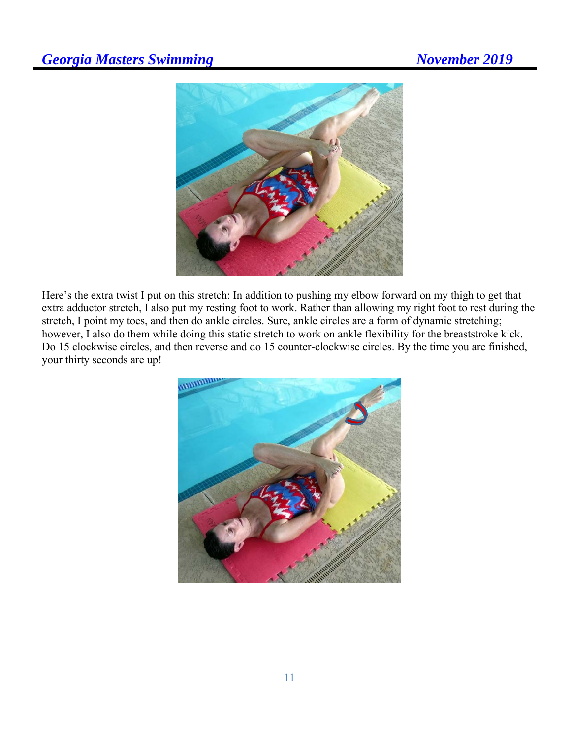

Here's the extra twist I put on this stretch: In addition to pushing my elbow forward on my thigh to get that extra adductor stretch, I also put my resting foot to work. Rather than allowing my right foot to rest during the stretch, I point my toes, and then do ankle circles. Sure, ankle circles are a form of dynamic stretching; however, I also do them while doing this static stretch to work on ankle flexibility for the breaststroke kick. Do 15 clockwise circles, and then reverse and do 15 counter-clockwise circles. By the time you are finished, your thirty seconds are up!

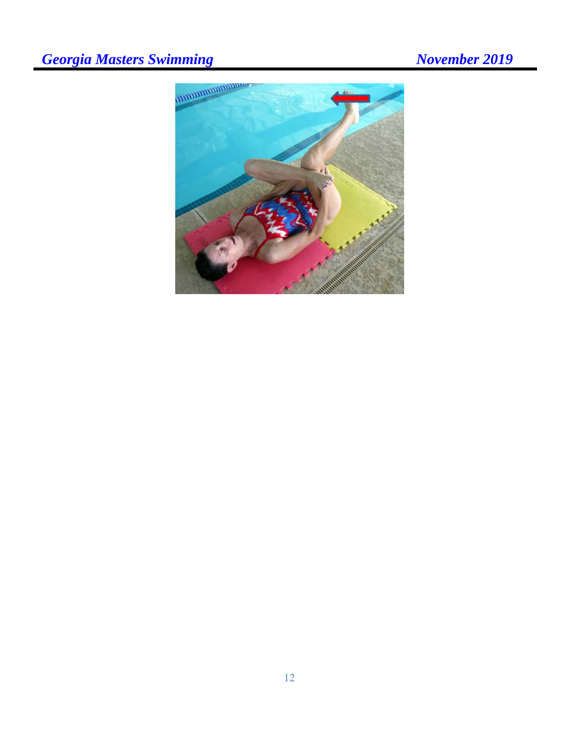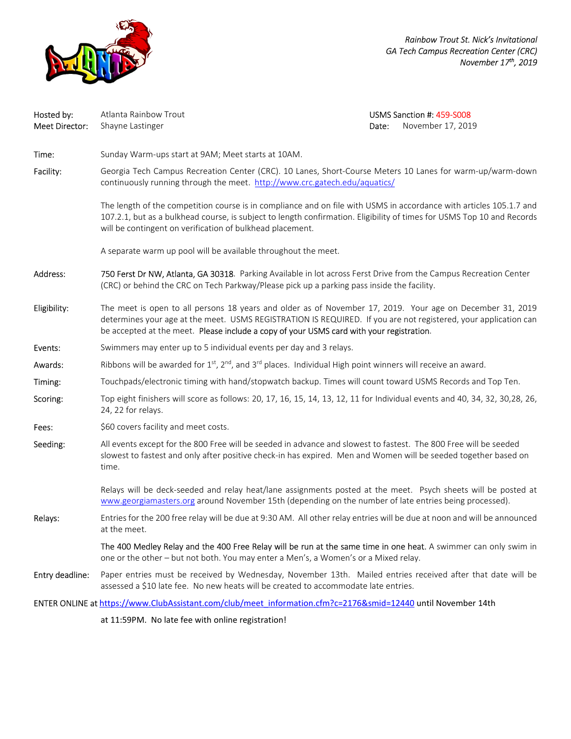

*Rainbow Trout St. Nick's Invitational GA Tech Campus Recreation Center (CRC) November 17th, 2019* 

| Hosted by:<br>Meet Director:                                                                              | Atlanta Rainbow Trout<br>Shayne Lastinger                                                                                                                                                                                                                                                                                | Date: | USMS Sanction #: 459-S008<br>November 17, 2019 |  |  |  |  |  |
|-----------------------------------------------------------------------------------------------------------|--------------------------------------------------------------------------------------------------------------------------------------------------------------------------------------------------------------------------------------------------------------------------------------------------------------------------|-------|------------------------------------------------|--|--|--|--|--|
|                                                                                                           |                                                                                                                                                                                                                                                                                                                          |       |                                                |  |  |  |  |  |
| Time:                                                                                                     | Sunday Warm-ups start at 9AM; Meet starts at 10AM.                                                                                                                                                                                                                                                                       |       |                                                |  |  |  |  |  |
| Facility:                                                                                                 | Georgia Tech Campus Recreation Center (CRC). 10 Lanes, Short-Course Meters 10 Lanes for warm-up/warm-down<br>continuously running through the meet. http://www.crc.gatech.edu/aquatics/                                                                                                                                  |       |                                                |  |  |  |  |  |
|                                                                                                           | The length of the competition course is in compliance and on file with USMS in accordance with articles 105.1.7 and<br>107.2.1, but as a bulkhead course, is subject to length confirmation. Eligibility of times for USMS Top 10 and Records<br>will be contingent on verification of bulkhead placement.               |       |                                                |  |  |  |  |  |
|                                                                                                           | A separate warm up pool will be available throughout the meet.                                                                                                                                                                                                                                                           |       |                                                |  |  |  |  |  |
| Address:                                                                                                  | 750 Ferst Dr NW, Atlanta, GA 30318. Parking Available in lot across Ferst Drive from the Campus Recreation Center<br>(CRC) or behind the CRC on Tech Parkway/Please pick up a parking pass inside the facility.                                                                                                          |       |                                                |  |  |  |  |  |
| Eligibility:                                                                                              | The meet is open to all persons 18 years and older as of November 17, 2019. Your age on December 31, 2019<br>determines your age at the meet. USMS REGISTRATION IS REQUIRED. If you are not registered, your application can<br>be accepted at the meet. Please include a copy of your USMS card with your registration. |       |                                                |  |  |  |  |  |
| Events:                                                                                                   | Swimmers may enter up to 5 individual events per day and 3 relays.                                                                                                                                                                                                                                                       |       |                                                |  |  |  |  |  |
| Awards:                                                                                                   | Ribbons will be awarded for $1^{st}$ , $2^{nd}$ , and $3^{rd}$ places. Individual High point winners will receive an award.                                                                                                                                                                                              |       |                                                |  |  |  |  |  |
| Timing:                                                                                                   | Touchpads/electronic timing with hand/stopwatch backup. Times will count toward USMS Records and Top Ten.                                                                                                                                                                                                                |       |                                                |  |  |  |  |  |
| Scoring:                                                                                                  | Top eight finishers will score as follows: 20, 17, 16, 15, 14, 13, 12, 11 for Individual events and 40, 34, 32, 30, 28, 26,<br>24, 22 for relays.                                                                                                                                                                        |       |                                                |  |  |  |  |  |
| Fees:                                                                                                     | \$60 covers facility and meet costs.                                                                                                                                                                                                                                                                                     |       |                                                |  |  |  |  |  |
| Seeding:                                                                                                  | All events except for the 800 Free will be seeded in advance and slowest to fastest. The 800 Free will be seeded<br>slowest to fastest and only after positive check-in has expired. Men and Women will be seeded together based on<br>time.                                                                             |       |                                                |  |  |  |  |  |
|                                                                                                           | Relays will be deck-seeded and relay heat/lane assignments posted at the meet. Psych sheets will be posted at<br>www.georgiamasters.org around November 15th (depending on the number of late entries being processed).                                                                                                  |       |                                                |  |  |  |  |  |
| Relays:                                                                                                   | Entries for the 200 free relay will be due at 9:30 AM. All other relay entries will be due at noon and will be announced<br>at the meet.                                                                                                                                                                                 |       |                                                |  |  |  |  |  |
|                                                                                                           | The 400 Medley Relay and the 400 Free Relay will be run at the same time in one heat. A swimmer can only swim in<br>one or the other - but not both. You may enter a Men's, a Women's or a Mixed relay.                                                                                                                  |       |                                                |  |  |  |  |  |
| Entry deadline:                                                                                           | Paper entries must be received by Wednesday, November 13th. Mailed entries received after that date will be<br>assessed a \$10 late fee. No new heats will be created to accommodate late entries.                                                                                                                       |       |                                                |  |  |  |  |  |
| ENTER ONLINE at https://www.ClubAssistant.com/club/meet_information.cfm?c=2176∣=12440 until November 14th |                                                                                                                                                                                                                                                                                                                          |       |                                                |  |  |  |  |  |

at 11:59PM. No late fee with online registration!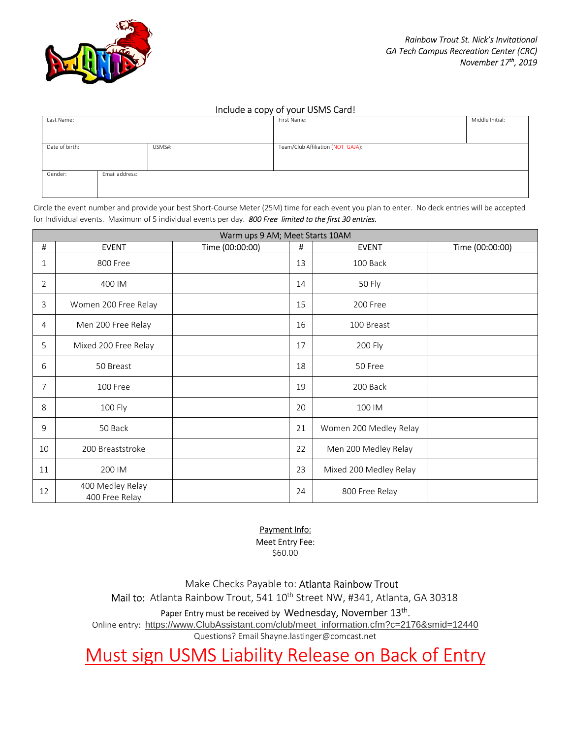

#### Include a copy of your USMS Card!

| Last Name:               |                | .<br>First Name:                  | Middle Initial: |  |  |  |
|--------------------------|----------------|-----------------------------------|-----------------|--|--|--|
|                          |                |                                   |                 |  |  |  |
|                          |                |                                   |                 |  |  |  |
| Date of birth:<br>USMS#: |                | Team/Club Affiliation (NOT GAJA): |                 |  |  |  |
|                          |                |                                   |                 |  |  |  |
|                          |                |                                   |                 |  |  |  |
| Gender:                  | Email address: |                                   |                 |  |  |  |
|                          |                |                                   |                 |  |  |  |
|                          |                |                                   |                 |  |  |  |

Circle the event number and provide your best Short-Course Meter (25M) time for each event you plan to enter. No deck entries will be accepted for Individual events. Maximum of 5 individual events per day. *800 Free limited to the first 30 entries.* 

| Warm ups 9 AM; Meet Starts 10AM |                                    |                 |    |                        |                 |  |  |
|---------------------------------|------------------------------------|-----------------|----|------------------------|-----------------|--|--|
| $\pmb{\sharp}$                  | <b>EVENT</b>                       | Time (00:00:00) | #  | <b>EVENT</b>           | Time (00:00:00) |  |  |
| 1                               | 800 Free                           |                 | 13 | 100 Back               |                 |  |  |
| $\overline{2}$                  | 400 IM                             |                 | 14 | 50 Fly                 |                 |  |  |
| 3                               | Women 200 Free Relay               |                 | 15 | 200 Free               |                 |  |  |
| 4                               | Men 200 Free Relay                 |                 | 16 | 100 Breast             |                 |  |  |
| 5                               | Mixed 200 Free Relay               |                 | 17 | 200 Fly                |                 |  |  |
| 6                               | 50 Breast                          |                 | 18 | 50 Free                |                 |  |  |
| 7                               | 100 Free                           |                 | 19 | 200 Back               |                 |  |  |
| 8                               | 100 Fly                            |                 | 20 | 100 IM                 |                 |  |  |
| 9                               | 50 Back                            |                 | 21 | Women 200 Medley Relay |                 |  |  |
| 10                              | 200 Breaststroke                   |                 | 22 | Men 200 Medley Relay   |                 |  |  |
| 11                              | 200 IM                             |                 | 23 | Mixed 200 Medley Relay |                 |  |  |
| 12                              | 400 Medley Relay<br>400 Free Relay |                 | 24 | 800 Free Relay         |                 |  |  |

#### Payment Info:

#### Meet Entry Fee:

\$60.00

Make Checks Payable to: Atlanta Rainbow Trout Mail to: Atlanta Rainbow Trout, 541 10<sup>th</sup> Street NW, #341, Atlanta, GA 30318

Paper Entry must be received by Wednesday, November 13<sup>th</sup>.

Online entry: https://www.ClubAssistant.com/club/meet\_information.cfm?c=2176&smid=12440

Questions? Email Shayne.lastinger@comcast.net

Must sign USMS Liability Release on Back of Entry